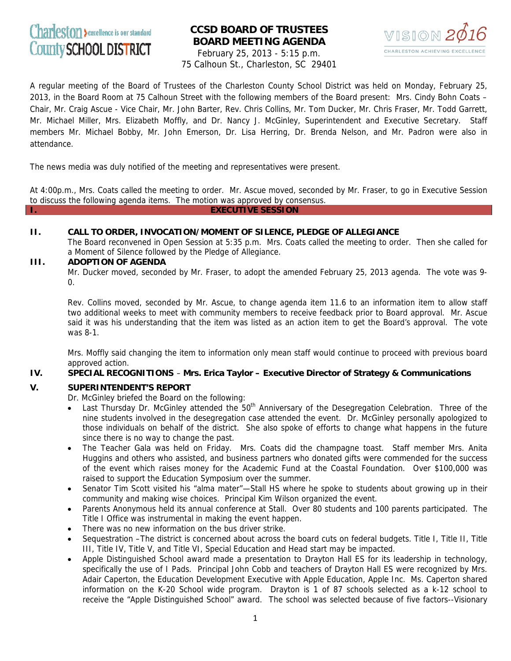# Charleston > excellence is our standard County SCHOOL DISTRICT

# **CCSD BOARD OF TRUSTEES BOARD MEETING AGENDA**



February 25, 2013 - 5:15 p.m. 75 Calhoun St., Charleston, SC 29401

A regular meeting of the Board of Trustees of the Charleston County School District was held on Monday, February 25, 2013, in the Board Room at 75 Calhoun Street with the following members of the Board present: Mrs. Cindy Bohn Coats – Chair, Mr. Craig Ascue - Vice Chair, Mr. John Barter, Rev. Chris Collins, Mr. Tom Ducker, Mr. Chris Fraser, Mr. Todd Garrett, Mr. Michael Miller, Mrs. Elizabeth Moffly, and Dr. Nancy J. McGinley, Superintendent and Executive Secretary. Staff members Mr. Michael Bobby, Mr. John Emerson, Dr. Lisa Herring, Dr. Brenda Nelson, and Mr. Padron were also in attendance.

The news media was duly notified of the meeting and representatives were present.

At 4:00p.m., Mrs. Coats called the meeting to order. Mr. Ascue moved, seconded by Mr. Fraser, to go in Executive Session to discuss the following agenda items. The motion was approved by consensus.

**I. EXECUTIVE SESSION**

# **II. CALL TO ORDER, INVOCATION/MOMENT OF SILENCE, PLEDGE OF ALLEGIANCE**

The Board reconvened in Open Session at 5:35 p.m. Mrs. Coats called the meeting to order. Then she called for a Moment of Silence followed by the Pledge of Allegiance.

# **III. ADOPTION OF AGENDA**

Mr. Ducker moved, seconded by Mr. Fraser, to adopt the amended February 25, 2013 agenda. The vote was 9-  $\Omega$ .

Rev. Collins moved, seconded by Mr. Ascue, to change agenda item 11.6 to an information item to allow staff two additional weeks to meet with community members to receive feedback prior to Board approval. Mr. Ascue said it was his understanding that the item was listed as an action item to get the Board's approval. The vote was 8-1.

Mrs. Moffly said changing the item to information only mean staff would continue to proceed with previous board approved action.

# **IV. SPECIAL RECOGNITIONS** – **Mrs. Erica Taylor – Executive Director of Strategy & Communications**

# **V. SUPERINTENDENT'S REPORT**

Dr. McGinley briefed the Board on the following:

- Last Thursday Dr. McGinley attended the  $50<sup>th</sup>$  Anniversary of the Desegregation Celebration. Three of the nine students involved in the desegregation case attended the event. Dr. McGinley personally apologized to those individuals on behalf of the district. She also spoke of efforts to change what happens in the future since there is no way to change the past.
- The Teacher Gala was held on Friday. Mrs. Coats did the champagne toast. Staff member Mrs. Anita Huggins and others who assisted, and business partners who donated gifts were commended for the success of the event which raises money for the Academic Fund at the Coastal Foundation. Over \$100,000 was raised to support the Education Symposium over the summer.
- Senator Tim Scott visited his "alma mater"—Stall HS where he spoke to students about growing up in their community and making wise choices. Principal Kim Wilson organized the event.
- Parents Anonymous held its annual conference at Stall. Over 80 students and 100 parents participated. The Title I Office was instrumental in making the event happen.
- There was no new information on the bus driver strike.
- Sequestration –The district is concerned about across the board cuts on federal budgets. Title I, Title II, Title III, Title IV, Title V, and Title VI, Special Education and Head start may be impacted.
- Apple Distinguished School award made a presentation to Drayton Hall ES for its leadership in technology, specifically the use of I Pads. Principal John Cobb and teachers of Drayton Hall ES were recognized by Mrs. Adair Caperton, the Education Development Executive with Apple Education, Apple Inc. Ms. Caperton shared information on the K-20 School wide program. Drayton is 1 of 87 schools selected as a k-12 school to receive the "Apple Distinguished School" award. The school was selected because of five factors--Visionary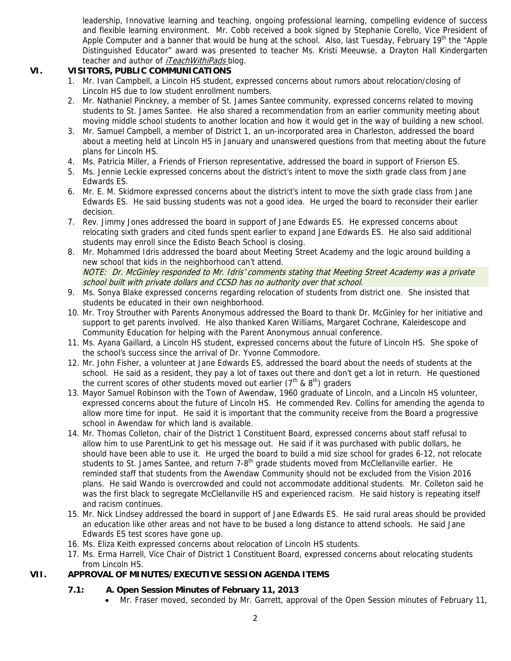leadership, Innovative learning and teaching, ongoing professional learning, compelling evidence of success and flexible learning environment. Mr. Cobb received a book signed by Stephanie Corello, Vice President of Apple Computer and a banner that would be hung at the school. Also, last Tuesday, February 19<sup>th</sup> the "Apple" Distinguished Educator" award was presented to teacher Ms. Kristi Meeuwse, a Drayton Hall Kindergarten teacher and author of *iTeachWithiPads* blog.

# **VI. VISITORS, PUBLIC COMMUNICATIONS**

- 1. Mr. Ivan Campbell, a Lincoln HS student, expressed concerns about rumors about relocation/closing of Lincoln HS due to low student enrollment numbers.
- 2. Mr. Nathaniel Pinckney, a member of St. James Santee community, expressed concerns related to moving students to St. James Santee. He also shared a recommendation from an earlier community meeting about moving middle school students to another location and how it would get in the way of building a new school.
- 3. Mr. Samuel Campbell, a member of District 1, an un-incorporated area in Charleston, addressed the board about a meeting held at Lincoln HS in January and unanswered questions from that meeting about the future plans for Lincoln HS.
- 4. Ms. Patricia Miller, a Friends of Frierson representative, addressed the board in support of Frierson ES.
- 5. Ms. Jennie Leckie expressed concerns about the district's intent to move the sixth grade class from Jane Edwards ES.
- 6. Mr. E. M. Skidmore expressed concerns about the district's intent to move the sixth grade class from Jane Edwards ES. He said bussing students was not a good idea. He urged the board to reconsider their earlier decision.
- 7. Rev. Jimmy Jones addressed the board in support of Jane Edwards ES. He expressed concerns about relocating sixth graders and cited funds spent earlier to expand Jane Edwards ES. He also said additional students may enroll since the Edisto Beach School is closing.
- 8. Mr. Mohammed Idris addressed the board about Meeting Street Academy and the logic around building a new school that kids in the neighborhood can't attend. NOTE: Dr. McGinley responded to Mr. Idris' comments stating that Meeting Street Academy was a private school built with private dollars and CCSD has no authority over that school.
- 9. Ms. Sonya Blake expressed concerns regarding relocation of students from district one. She insisted that students be educated in their own neighborhood.
- 10. Mr. Troy Strouther with Parents Anonymous addressed the Board to thank Dr. McGinley for her initiative and support to get parents involved. He also thanked Karen Williams, Margaret Cochrane, Kaleidescope and Community Education for helping with the Parent Anonymous annual conference.
- 11. Ms. Ayana Gaillard, a Lincoln HS student, expressed concerns about the future of Lincoln HS. She spoke of the school's success since the arrival of Dr. Yvonne Commodore.
- 12. Mr. John Fisher, a volunteer at Jane Edwards ES, addressed the board about the needs of students at the school. He said as a resident, they pay a lot of taxes out there and don't get a lot in return. He questioned the current scores of other students moved out earlier ( $7<sup>th</sup>$  &  $8<sup>th</sup>$ ) graders
- 13. Mayor Samuel Robinson with the Town of Awendaw, 1960 graduate of Lincoln, and a Lincoln HS volunteer, expressed concerns about the future of Lincoln HS. He commended Rev. Collins for amending the agenda to allow more time for input. He said it is important that the community receive from the Board a progressive school in Awendaw for which land is available.
- 14. Mr. Thomas Colleton, chair of the District 1 Constituent Board, expressed concerns about staff refusal to allow him to use ParentLink to get his message out. He said if it was purchased with public dollars, he should have been able to use it. He urged the board to build a mid size school for grades 6-12, not relocate students to St. James Santee, and return 7-8<sup>th</sup> grade students moved from McClellanville earlier. He reminded staff that students from the Awendaw Community should not be excluded from the Vision 2016 plans. He said Wando is overcrowded and could not accommodate additional students. Mr. Colleton said he was the first black to segregate McClellanville HS and experienced racism. He said history is repeating itself and racism continues.
- 15. Mr. Nick Lindsey addressed the board in support of Jane Edwards ES. He said rural areas should be provided an education like other areas and not have to be bused a long distance to attend schools. He said Jane Edwards ES test scores have gone up.
- 16. Ms. Eliza Keith expressed concerns about relocation of Lincoln HS students.
- 17. Ms. Erma Harrell, Vice Chair of District 1 Constituent Board, expressed concerns about relocating students from Lincoln HS.

# **VII. APPROVAL OF MINUTES/EXECUTIVE SESSION AGENDA ITEMS**

# **7.1: A. Open Session Minutes of February 11, 2013**

• Mr. Fraser moved, seconded by Mr. Garrett, approval of the Open Session minutes of February 11,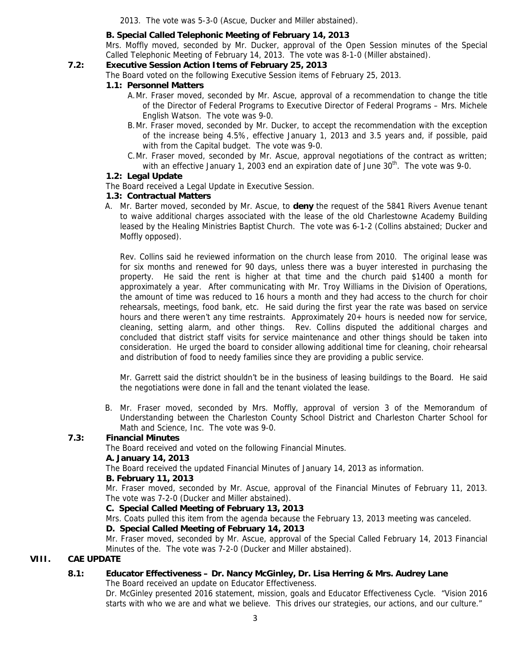2013. The vote was 5-3-0 (Ascue, Ducker and Miller abstained).

# **B. Special Called Telephonic Meeting of February 14, 2013**

Mrs. Moffly moved, seconded by Mr. Ducker, approval of the Open Session minutes of the Special Called Telephonic Meeting of February 14, 2013. The vote was 8-1-0 (Miller abstained).

# **7.2: Executive Session Action Items of February 25, 2013**

The Board voted on the following Executive Session items of February 25, 2013.

#### **1.1: Personnel Matters**

- A.Mr. Fraser moved, seconded by Mr. Ascue, approval of a recommendation to change the title of the Director of Federal Programs to Executive Director of Federal Programs – Mrs. Michele English Watson. The vote was 9-0.
- B.Mr. Fraser moved, seconded by Mr. Ducker, to accept the recommendation with the exception of the increase being 4.5%, effective January 1, 2013 and 3.5 years and, if possible, paid with from the Capital budget. The vote was 9-0.
- C.Mr. Fraser moved, seconded by Mr. Ascue, approval negotiations of the contract as written; with an effective January 1, 2003 end an expiration date of June  $30<sup>th</sup>$ . The vote was 9-0.

#### **1.2: Legal Update**

The Board received a Legal Update in Executive Session.

#### **1.3: Contractual Matters**

A. Mr. Barter moved, seconded by Mr. Ascue, to **deny** the request of the 5841 Rivers Avenue tenant to waive additional charges associated with the lease of the old Charlestowne Academy Building leased by the Healing Ministries Baptist Church. The vote was 6-1-2 (Collins abstained; Ducker and Moffly opposed).

Rev. Collins said he reviewed information on the church lease from 2010. The original lease was for six months and renewed for 90 days, unless there was a buyer interested in purchasing the property. He said the rent is higher at that time and the church paid \$1400 a month for approximately a year. After communicating with Mr. Troy Williams in the Division of Operations, the amount of time was reduced to 16 hours a month and they had access to the church for choir rehearsals, meetings, food bank, etc. He said during the first year the rate was based on service hours and there weren't any time restraints. Approximately 20+ hours is needed now for service, cleaning, setting alarm, and other things. Rev. Collins disputed the additional charges and concluded that district staff visits for service maintenance and other things should be taken into consideration. He urged the board to consider allowing additional time for cleaning, choir rehearsal and distribution of food to needy families since they are providing a public service.

Mr. Garrett said the district shouldn't be in the business of leasing buildings to the Board. He said the negotiations were done in fall and the tenant violated the lease.

B. Mr. Fraser moved, seconded by Mrs. Moffly, approval of version 3 of the Memorandum of Understanding between the Charleston County School District and Charleston Charter School for Math and Science, Inc. The vote was 9-0.

# **7.3: Financial Minutes**

The Board received and voted on the following Financial Minutes.

#### **A. January 14, 2013**

The Board received the updated Financial Minutes of January 14, 2013 as information.

#### **B. February 11, 2013**

Mr. Fraser moved, seconded by Mr. Ascue, approval of the Financial Minutes of February 11, 2013. The vote was 7-2-0 (Ducker and Miller abstained).

#### **C. Special Called Meeting of February 13, 2013**

Mrs. Coats pulled this item from the agenda because the February 13, 2013 meeting was canceled.

# **D. Special Called Meeting of February 14, 2013**

Mr. Fraser moved, seconded by Mr. Ascue, approval of the Special Called February 14, 2013 Financial Minutes of the. The vote was 7-2-0 (Ducker and Miller abstained).

# **VIII. CAE UPDATE**

# **8.1: Educator Effectiveness – Dr. Nancy McGinley, Dr. Lisa Herring & Mrs. Audrey Lane**

The Board received an update on Educator Effectiveness.

Dr. McGinley presented 2016 statement, mission, goals and Educator Effectiveness Cycle. "Vision 2016 starts with who we are and what we believe. This drives our strategies, our actions, and our culture."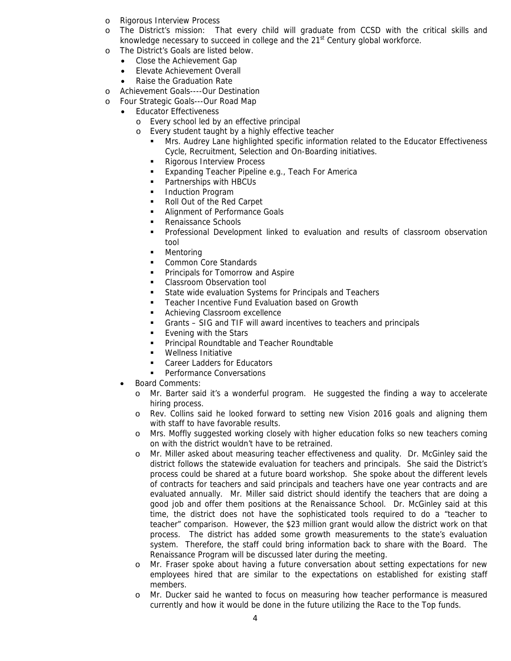- o Rigorous Interview Process
- o The District's mission: That every child will graduate from CCSD with the critical skills and knowledge necessary to succeed in college and the  $21<sup>st</sup>$  Century global workforce.
- o The District's Goals are listed below.
	- Close the Achievement Gap
	- Elevate Achievement Overall
	- Raise the Graduation Rate
- o Achievement Goals----Our Destination
- o Four Strategic Goals---Our Road Map
	- Educator Effectiveness
		- o Every school led by an effective principal
		- o Every student taught by a highly effective teacher
			- Mrs. Audrey Lane highlighted specific information related to the Educator Effectiveness Cycle, Recruitment, Selection and On-Boarding initiatives.
			- **Rigorous Interview Process**
			- **Expanding Teacher Pipeline e.g., Teach For America**
			- **Partnerships with HBCUs**
			- **Induction Program**
			- Roll Out of the Red Carpet
			- Alignment of Performance Goals
			- Renaissance Schools
			- Professional Development linked to evaluation and results of classroom observation tool
			- **•** Mentoring
			- Common Core Standards
			- **•** Principals for Tomorrow and Aspire
			- **Classroom Observation tool**
			- State wide evaluation Systems for Principals and Teachers
			- **EXECUTE:** Teacher Incentive Fund Evaluation based on Growth
			- **Achieving Classroom excellence**
			- Grants SIG and TIF will award incentives to teachers and principals
			- **Evening with the Stars**
			- **Principal Roundtable and Teacher Roundtable**
			- **Wellness Initiative**
			- Career Ladders for Educators
			- **Performance Conversations**
	- Board Comments:
		- o Mr. Barter said it's a wonderful program. He suggested the finding a way to accelerate hiring process.
		- o Rev. Collins said he looked forward to setting new Vision 2016 goals and aligning them with staff to have favorable results.
		- o Mrs. Moffly suggested working closely with higher education folks so new teachers coming on with the district wouldn't have to be retrained.
		- o Mr. Miller asked about measuring teacher effectiveness and quality. Dr. McGinley said the district follows the statewide evaluation for teachers and principals. She said the District's process could be shared at a future board workshop. She spoke about the different levels of contracts for teachers and said principals and teachers have one year contracts and are evaluated annually. Mr. Miller said district should identify the teachers that are doing a good job and offer them positions at the Renaissance School. Dr. McGinley said at this time, the district does not have the sophisticated tools required to do a "teacher to teacher" comparison. However, the \$23 million grant would allow the district work on that process. The district has added some growth measurements to the state's evaluation system. Therefore, the staff could bring information back to share with the Board. The Renaissance Program will be discussed later during the meeting.
		- o Mr. Fraser spoke about having a future conversation about setting expectations for new employees hired that are similar to the expectations on established for existing staff members.
		- o Mr. Ducker said he wanted to focus on measuring how teacher performance is measured currently and how it would be done in the future utilizing the Race to the Top funds.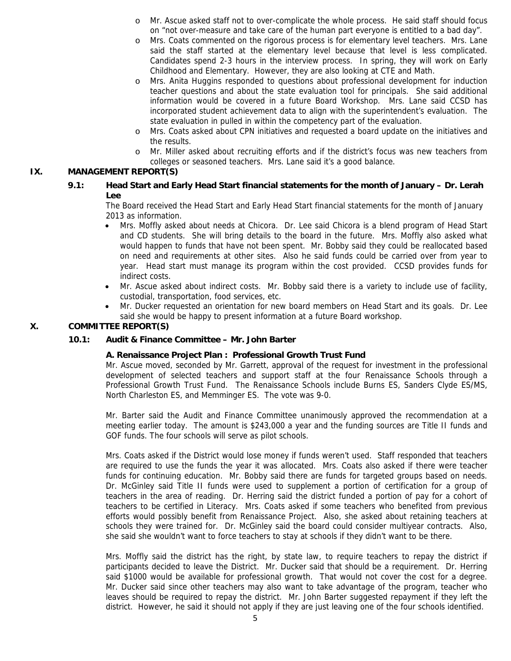- o Mr. Ascue asked staff not to over-complicate the whole process. He said staff should focus on "not over-measure and take care of the human part everyone is entitled to a bad day".
- o Mrs. Coats commented on the rigorous process is for elementary level teachers. Mrs. Lane said the staff started at the elementary level because that level is less complicated. Candidates spend 2-3 hours in the interview process. In spring, they will work on Early Childhood and Elementary. However, they are also looking at CTE and Math.
- o Mrs. Anita Huggins responded to questions about professional development for induction teacher questions and about the state evaluation tool for principals. She said additional information would be covered in a future Board Workshop. Mrs. Lane said CCSD has incorporated student achievement data to align with the superintendent's evaluation. The state evaluation in pulled in within the competency part of the evaluation.
- o Mrs. Coats asked about CPN initiatives and requested a board update on the initiatives and the results.
- o Mr. Miller asked about recruiting efforts and if the district's focus was new teachers from colleges or seasoned teachers. Mrs. Lane said it's a good balance.

# **IX. MANAGEMENT REPORT(S)**

**9.1: Head Start and Early Head Start financial statements for the month of January – Dr. Lerah Lee**

The Board received the Head Start and Early Head Start financial statements for the month of January 2013 as information.

- Mrs. Moffly asked about needs at Chicora. Dr. Lee said Chicora is a blend program of Head Start and CD students. She will bring details to the board in the future. Mrs. Moffly also asked what would happen to funds that have not been spent. Mr. Bobby said they could be reallocated based on need and requirements at other sites. Also he said funds could be carried over from year to year. Head start must manage its program within the cost provided. CCSD provides funds for indirect costs.
- Mr. Ascue asked about indirect costs. Mr. Bobby said there is a variety to include use of facility, custodial, transportation, food services, etc.
- Mr. Ducker requested an orientation for new board members on Head Start and its goals. Dr. Lee said she would be happy to present information at a future Board workshop.

# **X. COMMITTEE REPORT(S)**

# **10.1: Audit & Finance Committee – Mr. John Barter**

# **A. Renaissance Project Plan : Professional Growth Trust Fund**

Mr. Ascue moved, seconded by Mr. Garrett, approval of the request for investment in the professional development of selected teachers and support staff at the four Renaissance Schools through a Professional Growth Trust Fund. The Renaissance Schools include Burns ES, Sanders Clyde ES/MS, North Charleston ES, and Memminger ES. The vote was 9-0.

Mr. Barter said the Audit and Finance Committee unanimously approved the recommendation at a meeting earlier today. The amount is \$243,000 a year and the funding sources are Title II funds and GOF funds. The four schools will serve as pilot schools.

Mrs. Coats asked if the District would lose money if funds weren't used. Staff responded that teachers are required to use the funds the year it was allocated. Mrs. Coats also asked if there were teacher funds for continuing education. Mr. Bobby said there are funds for targeted groups based on needs. Dr. McGinley said Title II funds were used to supplement a portion of certification for a group of teachers in the area of reading. Dr. Herring said the district funded a portion of pay for a cohort of teachers to be certified in Literacy. Mrs. Coats asked if some teachers who benefited from previous efforts would possibly benefit from Renaissance Project. Also, she asked about retaining teachers at schools they were trained for. Dr. McGinley said the board could consider multiyear contracts. Also, she said she wouldn't want to force teachers to stay at schools if they didn't want to be there.

Mrs. Moffly said the district has the right, by state law, to require teachers to repay the district if participants decided to leave the District. Mr. Ducker said that should be a requirement. Dr. Herring said \$1000 would be available for professional growth. That would not cover the cost for a degree. Mr. Ducker said since other teachers may also want to take advantage of the program, teacher who leaves should be required to repay the district. Mr. John Barter suggested repayment if they left the district. However, he said it should not apply if they are just leaving one of the four schools identified.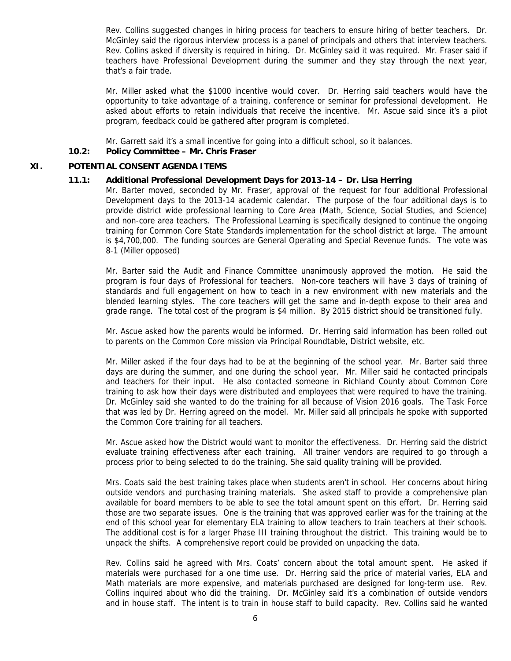Rev. Collins suggested changes in hiring process for teachers to ensure hiring of better teachers. Dr. McGinley said the rigorous interview process is a panel of principals and others that interview teachers. Rev. Collins asked if diversity is required in hiring. Dr. McGinley said it was required. Mr. Fraser said if teachers have Professional Development during the summer and they stay through the next year, that's a fair trade.

Mr. Miller asked what the \$1000 incentive would cover. Dr. Herring said teachers would have the opportunity to take advantage of a training, conference or seminar for professional development. He asked about efforts to retain individuals that receive the incentive. Mr. Ascue said since it's a pilot program, feedback could be gathered after program is completed.

Mr. Garrett said it's a small incentive for going into a difficult school, so it balances.

#### **10.2: Policy Committee – Mr. Chris Fraser**

#### **XI. POTENTIAL CONSENT AGENDA ITEMS**

#### **11.1: Additional Professional Development Days for 2013-14 – Dr. Lisa Herring**

Mr. Barter moved, seconded by Mr. Fraser, approval of the request for four additional Professional Development days to the 2013-14 academic calendar. The purpose of the four additional days is to provide district wide professional learning to Core Area (Math, Science, Social Studies, and Science) and non-core area teachers. The Professional Learning is specifically designed to continue the ongoing training for Common Core State Standards implementation for the school district at large. The amount is \$4,700,000. The funding sources are General Operating and Special Revenue funds. The vote was 8-1 (Miller opposed)

Mr. Barter said the Audit and Finance Committee unanimously approved the motion. He said the program is four days of Professional for teachers. Non-core teachers will have 3 days of training of standards and full engagement on how to teach in a new environment with new materials and the blended learning styles. The core teachers will get the same and in-depth expose to their area and grade range. The total cost of the program is \$4 million. By 2015 district should be transitioned fully.

Mr. Ascue asked how the parents would be informed. Dr. Herring said information has been rolled out to parents on the Common Core mission via Principal Roundtable, District website, etc.

Mr. Miller asked if the four days had to be at the beginning of the school year. Mr. Barter said three days are during the summer, and one during the school year. Mr. Miller said he contacted principals and teachers for their input. He also contacted someone in Richland County about Common Core training to ask how their days were distributed and employees that were required to have the training. Dr. McGinley said she wanted to do the training for all because of Vision 2016 goals. The Task Force that was led by Dr. Herring agreed on the model. Mr. Miller said all principals he spoke with supported the Common Core training for all teachers.

Mr. Ascue asked how the District would want to monitor the effectiveness. Dr. Herring said the district evaluate training effectiveness after each training. All trainer vendors are required to go through a process prior to being selected to do the training. She said quality training will be provided.

Mrs. Coats said the best training takes place when students aren't in school. Her concerns about hiring outside vendors and purchasing training materials. She asked staff to provide a comprehensive plan available for board members to be able to see the total amount spent on this effort. Dr. Herring said those are two separate issues. One is the training that was approved earlier was for the training at the end of this school year for elementary ELA training to allow teachers to train teachers at their schools. The additional cost is for a larger Phase III training throughout the district. This training would be to unpack the shifts. A comprehensive report could be provided on unpacking the data.

Rev. Collins said he agreed with Mrs. Coats' concern about the total amount spent. He asked if materials were purchased for a one time use. Dr. Herring said the price of material varies, ELA and Math materials are more expensive, and materials purchased are designed for long-term use. Rev. Collins inquired about who did the training. Dr. McGinley said it's a combination of outside vendors and in house staff. The intent is to train in house staff to build capacity. Rev. Collins said he wanted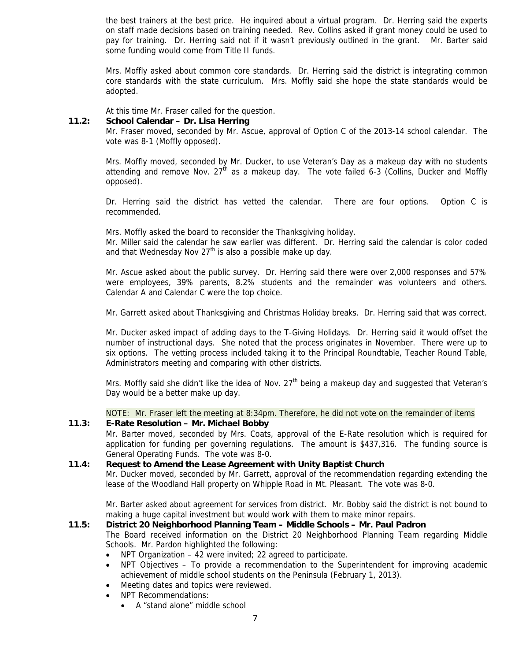the best trainers at the best price. He inquired about a virtual program. Dr. Herring said the experts on staff made decisions based on training needed. Rev. Collins asked if grant money could be used to pay for training. Dr. Herring said not if it wasn't previously outlined in the grant. Mr. Barter said some funding would come from Title II funds.

Mrs. Moffly asked about common core standards. Dr. Herring said the district is integrating common core standards with the state curriculum. Mrs. Moffly said she hope the state standards would be adopted.

At this time Mr. Fraser called for the question.

#### **11.2: School Calendar – Dr. Lisa Herring**

Mr. Fraser moved, seconded by Mr. Ascue, approval of Option C of the 2013-14 school calendar. The vote was 8-1 (Moffly opposed).

Mrs. Moffly moved, seconded by Mr. Ducker, to use Veteran's Day as a makeup day with no students attending and remove Nov.  $27<sup>th</sup>$  as a makeup day. The vote failed 6-3 (Collins, Ducker and Moffly opposed).

Dr. Herring said the district has vetted the calendar. There are four options. Option C is recommended.

Mrs. Moffly asked the board to reconsider the Thanksgiving holiday.

Mr. Miller said the calendar he saw earlier was different. Dr. Herring said the calendar is color coded and that Wednesday Nov  $27<sup>th</sup>$  is also a possible make up day.

Mr. Ascue asked about the public survey. Dr. Herring said there were over 2,000 responses and 57% were employees, 39% parents, 8.2% students and the remainder was volunteers and others. Calendar A and Calendar C were the top choice.

Mr. Garrett asked about Thanksgiving and Christmas Holiday breaks. Dr. Herring said that was correct.

Mr. Ducker asked impact of adding days to the T-Giving Holidays. Dr. Herring said it would offset the number of instructional days. She noted that the process originates in November. There were up to six options. The vetting process included taking it to the Principal Roundtable, Teacher Round Table, Administrators meeting and comparing with other districts.

Mrs. Moffly said she didn't like the idea of Nov.  $27<sup>th</sup>$  being a makeup day and suggested that Veteran's Day would be a better make up day.

NOTE: Mr. Fraser left the meeting at 8:34pm. Therefore, he did not vote on the remainder of items **11.3: E-Rate Resolution – Mr. Michael Bobby**

Mr. Barter moved, seconded by Mrs. Coats, approval of the E-Rate resolution which is required for application for funding per governing regulations. The amount is \$437,316. The funding source is General Operating Funds. The vote was 8-0.

#### **11.4: Request to Amend the Lease Agreement with Unity Baptist Church** Mr. Ducker moved, seconded by Mr. Garrett, approval of the recommendation regarding extending the lease of the Woodland Hall property on Whipple Road in Mt. Pleasant. The vote was 8-0.

Mr. Barter asked about agreement for services from district. Mr. Bobby said the district is not bound to making a huge capital investment but would work with them to make minor repairs.

#### **11.5: District 20 Neighborhood Planning Team – Middle Schools – Mr. Paul Padron**

The Board received information on the District 20 Neighborhood Planning Team regarding Middle Schools. Mr. Pardon highlighted the following:

- NPT Organization  $-42$  were invited; 22 agreed to participate.
- NPT Objectives To provide a recommendation to the Superintendent for improving academic achievement of middle school students on the Peninsula (February 1, 2013).
- Meeting dates and topics were reviewed.
- NPT Recommendations:
	- A "stand alone" middle school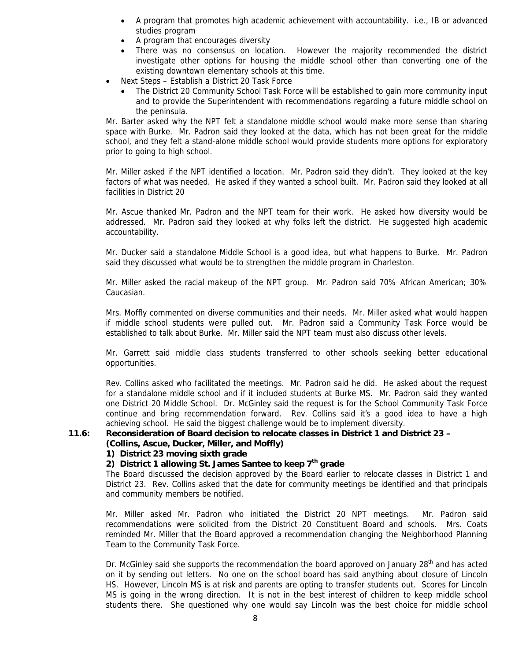- A program that promotes high academic achievement with accountability. i.e., IB or advanced studies program
- A program that encourages diversity
- There was no consensus on location. However the majority recommended the district investigate other options for housing the middle school other than converting one of the existing downtown elementary schools at this time.
- Next Steps Establish a District 20 Task Force
	- The District 20 Community School Task Force will be established to gain more community input and to provide the Superintendent with recommendations regarding a future middle school on the peninsula.

Mr. Barter asked why the NPT felt a standalone middle school would make more sense than sharing space with Burke. Mr. Padron said they looked at the data, which has not been great for the middle school, and they felt a stand-alone middle school would provide students more options for exploratory prior to going to high school.

Mr. Miller asked if the NPT identified a location. Mr. Padron said they didn't. They looked at the key factors of what was needed. He asked if they wanted a school built. Mr. Padron said they looked at all facilities in District 20

Mr. Ascue thanked Mr. Padron and the NPT team for their work. He asked how diversity would be addressed. Mr. Padron said they looked at why folks left the district. He suggested high academic accountability.

Mr. Ducker said a standalone Middle School is a good idea, but what happens to Burke. Mr. Padron said they discussed what would be to strengthen the middle program in Charleston.

Mr. Miller asked the racial makeup of the NPT group. Mr. Padron said 70% African American; 30% Caucasian.

Mrs. Moffly commented on diverse communities and their needs. Mr. Miller asked what would happen if middle school students were pulled out. Mr. Padron said a Community Task Force would be established to talk about Burke. Mr. Miller said the NPT team must also discuss other levels.

Mr. Garrett said middle class students transferred to other schools seeking better educational opportunities.

Rev. Collins asked who facilitated the meetings. Mr. Padron said he did. He asked about the request for a standalone middle school and if it included students at Burke MS. Mr. Padron said they wanted one District 20 Middle School. Dr. McGinley said the request is for the School Community Task Force continue and bring recommendation forward. Rev. Collins said it's a good idea to have a high achieving school. He said the biggest challenge would be to implement diversity.

#### **11.6: Reconsideration of Board decision to relocate classes in District 1 and District 23 – (Collins, Ascue, Ducker, Miller, and Moffly)**

#### **1) District 23 moving sixth grade**

2) District 1 allowing St. James Santee to keep 7<sup>th</sup> grade

The Board discussed the decision approved by the Board earlier to relocate classes in District 1 and District 23. Rev. Collins asked that the date for community meetings be identified and that principals and community members be notified.

Mr. Miller asked Mr. Padron who initiated the District 20 NPT meetings. Mr. Padron said recommendations were solicited from the District 20 Constituent Board and schools. Mrs. Coats reminded Mr. Miller that the Board approved a recommendation changing the Neighborhood Planning Team to the Community Task Force.

Dr. McGinley said she supports the recommendation the board approved on January 28<sup>th</sup> and has acted on it by sending out letters. No one on the school board has said anything about closure of Lincoln HS. However, Lincoln MS is at risk and parents are opting to transfer students out. Scores for Lincoln MS is going in the wrong direction. It is not in the best interest of children to keep middle school students there. She questioned why one would say Lincoln was the best choice for middle school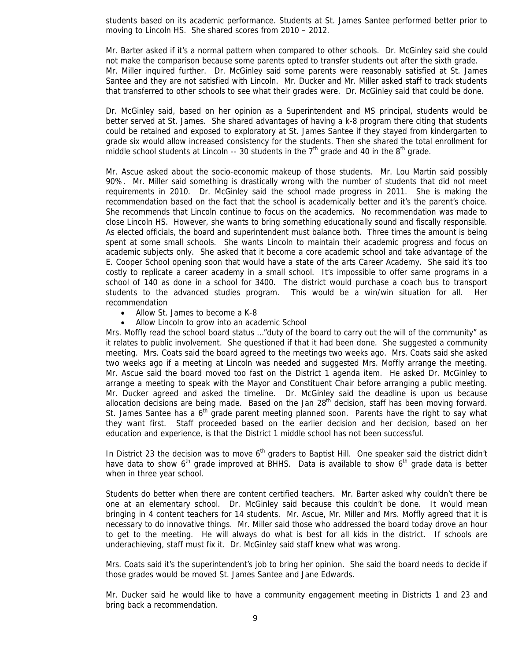students based on its academic performance. Students at St. James Santee performed better prior to moving to Lincoln HS. She shared scores from 2010 – 2012.

Mr. Barter asked if it's a normal pattern when compared to other schools. Dr. McGinley said she could not make the comparison because some parents opted to transfer students out after the sixth grade. Mr. Miller inquired further. Dr. McGinley said some parents were reasonably satisfied at St. James Santee and they are not satisfied with Lincoln. Mr. Ducker and Mr. Miller asked staff to track students that transferred to other schools to see what their grades were. Dr. McGinley said that could be done.

Dr. McGinley said, based on her opinion as a Superintendent and MS principal, students would be better served at St. James. She shared advantages of having a k-8 program there citing that students could be retained and exposed to exploratory at St. James Santee if they stayed from kindergarten to grade six would allow increased consistency for the students. Then she shared the total enrollment for middle school students at Lincoln -- 30 students in the  $7<sup>th</sup>$  grade and 40 in the  $8<sup>th</sup>$  grade.

Mr. Ascue asked about the socio-economic makeup of those students. Mr. Lou Martin said possibly 90%. Mr. Miller said something is drastically wrong with the number of students that did not meet requirements in 2010. Dr. McGinley said the school made progress in 2011. She is making the recommendation based on the fact that the school is academically better and it's the parent's choice. She recommends that Lincoln continue to focus on the academics. No recommendation was made to close Lincoln HS. However, she wants to bring something educationally sound and fiscally responsible. As elected officials, the board and superintendent must balance both. Three times the amount is being spent at some small schools. She wants Lincoln to maintain their academic progress and focus on academic subjects only. She asked that it become a core academic school and take advantage of the E. Cooper School opening soon that would have a state of the arts Career Academy. She said it's too costly to replicate a career academy in a small school. It's impossible to offer same programs in a school of 140 as done in a school for 3400. The district would purchase a coach bus to transport students to the advanced studies program. This would be a win/win situation for all. Her recommendation

- Allow St. James to become a K-8
- Allow Lincoln to grow into an academic School

Mrs. Moffly read the school board status …"duty of the board to carry out the will of the community" as it relates to public involvement. She questioned if that it had been done. She suggested a community meeting. Mrs. Coats said the board agreed to the meetings two weeks ago. Mrs. Coats said she asked two weeks ago if a meeting at Lincoln was needed and suggested Mrs. Moffly arrange the meeting. Mr. Ascue said the board moved too fast on the District 1 agenda item. He asked Dr. McGinley to arrange a meeting to speak with the Mayor and Constituent Chair before arranging a public meeting. Mr. Ducker agreed and asked the timeline. Dr. McGinley said the deadline is upon us because allocation decisions are being made. Based on the Jan  $28<sup>th</sup>$  decision, staff has been moving forward. St. James Santee has a  $6<sup>th</sup>$  grade parent meeting planned soon. Parents have the right to say what they want first. Staff proceeded based on the earlier decision and her decision, based on her education and experience, is that the District 1 middle school has not been successful.

In District 23 the decision was to move 6<sup>th</sup> graders to Baptist Hill. One speaker said the district didn't have data to show  $6<sup>th</sup>$  grade improved at BHHS. Data is available to show  $6<sup>th</sup>$  grade data is better when in three year school.

Students do better when there are content certified teachers. Mr. Barter asked why couldn't there be one at an elementary school. Dr. McGinley said because this couldn't be done. It would mean bringing in 4 content teachers for 14 students. Mr. Ascue, Mr. Miller and Mrs. Moffly agreed that it is necessary to do innovative things. Mr. Miller said those who addressed the board today drove an hour to get to the meeting. He will always do what is best for all kids in the district. If schools are underachieving, staff must fix it. Dr. McGinley said staff knew what was wrong.

Mrs. Coats said it's the superintendent's job to bring her opinion. She said the board needs to decide if those grades would be moved St. James Santee and Jane Edwards.

Mr. Ducker said he would like to have a community engagement meeting in Districts 1 and 23 and bring back a recommendation.